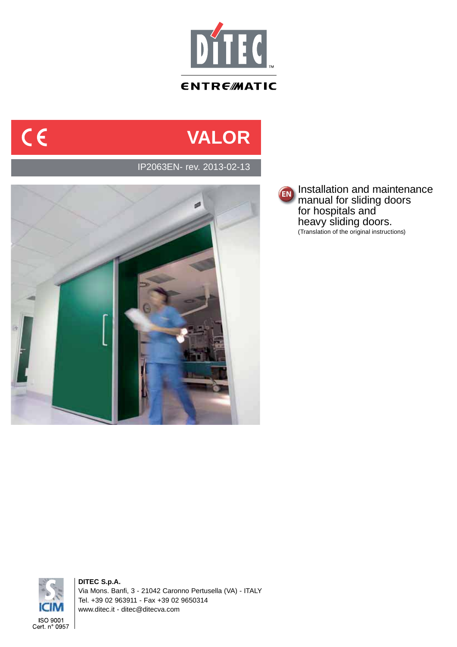

# **VALOR**

IP2063EN- rev. 2013-02-13



**EN** Installation and maintenance manual for sliding doors for hospitals and heavy sliding doors. (Translation of the original instructions)



 $C \in$ 

**DITEC S.p.A.** Via Mons. Banfi, 3 - 21042 Caronno Pertusella (VA) - ITALY Tel. +39 02 963911 - Fax +39 02 9650314 www.ditec.it - ditec@ditecva.com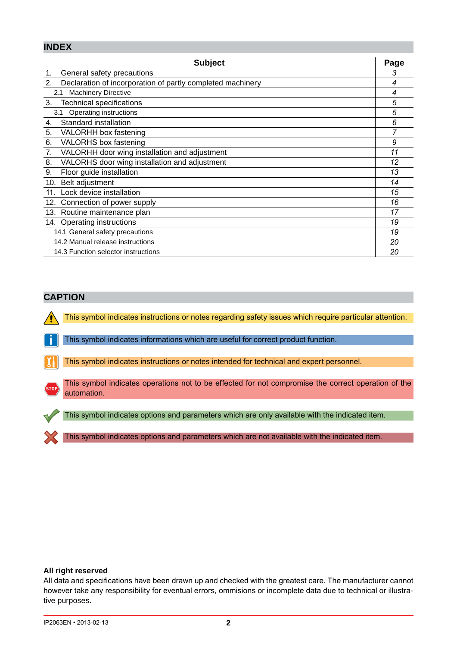### **INDEX**

| <b>Subject</b>                                                   | Page |
|------------------------------------------------------------------|------|
| General safety precautions<br>1.                                 | 3    |
| 2.<br>Declaration of incorporation of partly completed machinery | 4    |
| <b>Machinery Directive</b><br>2.1                                | 4    |
| 3.<br>Technical specifications                                   | 5    |
| Operating instructions<br>3.1                                    | 5    |
| Standard installation<br>4.                                      | 6    |
| 5.<br>VALORHH box fastening                                      |      |
| 6.<br>VALORHS box fastening                                      | 9    |
| VALORHH door wing installation and adjustment<br>7.              | 11   |
| 8.<br>VALORHS door wing installation and adjustment              | 12   |
| 9.<br>Floor guide installation                                   | 13   |
| Belt adjustment<br>10.                                           | 14   |
| Lock device installation<br>11 <sub>1</sub>                      | 15   |
| Connection of power supply<br>12.                                | 16   |
| 13. Routine maintenance plan                                     | 17   |
| 14. Operating instructions                                       | 19   |
| 14.1 General safety precautions                                  | 19   |
| 14.2 Manual release instructions                                 | 20   |
| 14.3 Function selector instructions                              | 20   |

### **CAPTION**

This symbol indicates instructions or notes regarding safety issues which require particular attention.

**i** This symbol indicates informations which are useful for correct product function.

This symbol indicates instructions or notes intended for technical and expert personnel.

**STOP** This symbol indicates operations not to be effected for not compromise the correct operation of the automation.

This symbol indicates options and parameters which are only available with the indicated item.

This symbol indicates options and parameters which are not available with the indicated item.

### **All right reserved**

All data and specifications have been drawn up and checked with the greatest care. The manufacturer cannot however take any responsibility for eventual errors, ommisions or incomplete data due to technical or illustrative purposes.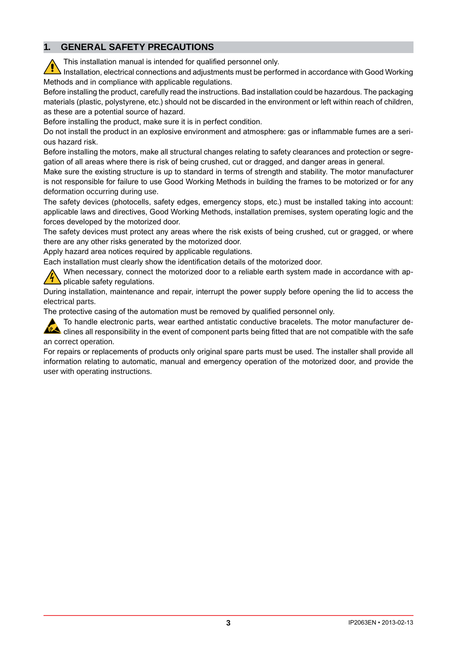#### $1<sup>1</sup>$ **GENERAL SAFETY PRECAUTIONS**

This installation manual is intended for qualified personnel only.

Installation, electrical connections and adjustments must be performed in accordance with Good Working Methods and in compliance with applicable regulations.

Before installing the product, carefully read the instructions. Bad installation could be hazardous. The packaging materials (plastic, polystyrene, etc.) should not be discarded in the environment or left within reach of children, as these are a potential source of hazard.

Before installing the product, make sure it is in perfect condition.

Do not install the product in an explosive environment and atmosphere: gas or inflammable fumes are a serious hazard risk.

Before installing the motors, make all structural changes relating to safety clearances and protection or segregation of all areas where there is risk of being crushed, cut or dragged, and danger areas in general.

Make sure the existing structure is up to standard in terms of strength and stability. The motor manufacturer is not responsible for failure to use Good Working Methods in building the frames to be motorized or for any deformation occurring during use.

The safety devices (photocells, safety edges, emergency stops, etc.) must be installed taking into account: applicable laws and directives. Good Working Methods, installation premises, system operating logic and the forces developed by the motorized door.

The safety devices must protect any areas where the risk exists of being crushed, cut or gragged, or where there are any other risks generated by the motorized door.

Apply hazard area notices required by applicable regulations.

Each installation must clearly show the identification details of the motorized door.

When necessary, connect the motorized door to a reliable earth system made in accordance with applicable safety regulations.

During installation, maintenance and repair, interrupt the power supply before opening the lid to access the electrical parts.

The protective casing of the automation must be removed by qualified personnel only.

To handle electronic parts, wear earthed antistatic conductive bracelets. The motor manufacturer declines all responsibility in the event of component parts being fitted that are not compatible with the safe an correct operation.

For repairs or replacements of products only original spare parts must be used. The installer shall provide all information relating to automatic, manual and emergency operation of the motorized door, and provide the user with operating instructions.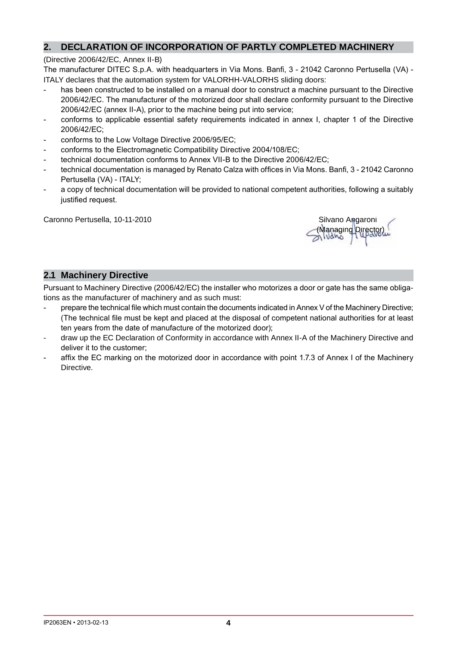#### $2.$ DECLARATION OF INCORPORATION OF PARTLY COMPLETED MACHINERY

### (Directive 2006/42/EC, Annex II-B)

The manufacturer DITEC S.p.A. with headquarters in Via Mons. Banfi, 3 - 21042 Caronno Pertusella (VA) -ITALY declares that the automation system for VALORHH-VALORHS sliding doors:

- has been constructed to be installed on a manual door to construct a machine pursuant to the Directive 2006/42/EC. The manufacturer of the motorized door shall declare conformity pursuant to the Directive 2006/42/EC (annex II-A), prior to the machine being put into service;
- conforms to applicable essential safety requirements indicated in annex I, chapter 1 of the Directive 2006/42/EC:
- conforms to the Low Voltage Directive 2006/95/EC;  $\overline{a}$
- conforms to the Electromagnetic Compatibility Directive 2004/108/EC;
- technical documentation conforms to Annex VII-B to the Directive 2006/42/EC:
- technical documentation is managed by Renato Calza with offices in Via Mons. Banfi, 3 21042 Caronno Pertusella (VA) - ITALY;
- a copy of technical documentation will be provided to national competent authorities, following a suitably justified request.

Caronno Pertusella, 10-11-2010

Silvano Angaroni (Managing<sup>p</sup> mivano

# 2.1 Machinery Directive

Pursuant to Machinery Directive (2006/42/EC) the installer who motorizes a door or gate has the same obligations as the manufacturer of machinery and as such must:

- prepare the technical file which must contain the documents indicated in Annex V of the Machinery Directive;  $\sim$ (The technical file must be kept and placed at the disposal of competent national authorities for at least ten years from the date of manufacture of the motorized door);
- draw up the EC Declaration of Conformity in accordance with Annex II-A of the Machinery Directive and deliver it to the customer:
- affix the EC marking on the motorized door in accordance with point 1.7.3 of Annex I of the Machinery **Directive**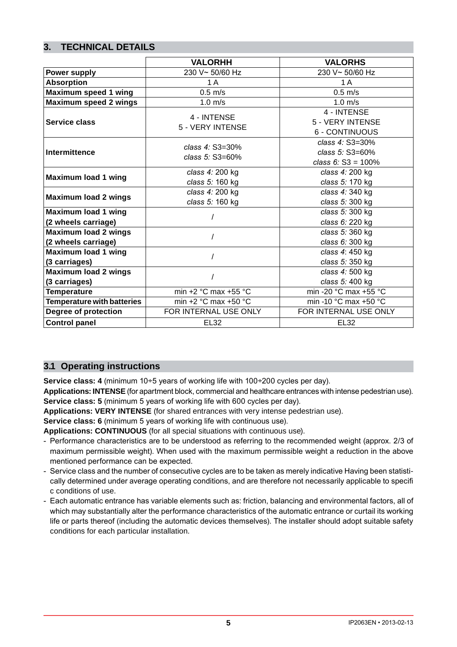# **3. TECHNICAL DETAILS**

|                                   | <b>VALORHH</b>                         | <b>VALORHS</b>                            |  |
|-----------------------------------|----------------------------------------|-------------------------------------------|--|
| <b>Power supply</b>               | 230 V~ 50/60 Hz                        | 230 V~ 50/60 Hz                           |  |
| <b>Absorption</b>                 | 1 A                                    | 1 A                                       |  |
| <b>Maximum speed 1 wing</b>       | $0.5$ m/s                              | $0.5$ m/s                                 |  |
| <b>Maximum speed 2 wings</b>      | $1.0 \text{ m/s}$                      | $1.0 \text{ m/s}$                         |  |
|                                   | 4 - INTENSE<br>5 - VERY INTENSE        | 4 - INTENSE                               |  |
| Service class                     |                                        | 5 - VERY INTENSE                          |  |
|                                   |                                        | 6 - CONTINUOUS                            |  |
|                                   | class $4:$ S3=30%<br>class $5:$ S3=60% | class 4: S3=30%                           |  |
| <b>Intermittence</b>              |                                        | class 5: S3=60%                           |  |
|                                   |                                        | class 6: $S3 = 100\%$                     |  |
| <b>Maximum load 1 wing</b>        | class 4: 200 kg                        | class 4: 200 kg                           |  |
|                                   | class 5: 160 kg                        | class 5: 170 kg                           |  |
| <b>Maximum load 2 wings</b>       | class 4: 200 kg                        | class 4: 340 kg                           |  |
|                                   | class 5: 160 kg                        | class 5: 300 kg                           |  |
| <b>Maximum load 1 wing</b>        |                                        | class 5: 300 kg                           |  |
| (2 wheels carriage)               |                                        | class 6: 220 kg                           |  |
| <b>Maximum load 2 wings</b>       |                                        | class 5: 360 kg                           |  |
| (2 wheels carriage)               |                                        | class 6: 300 kg                           |  |
| <b>Maximum load 1 wing</b>        |                                        | class 4: 450 kg                           |  |
| (3 carriages)                     |                                        | class 5: 350 kg                           |  |
| <b>Maximum load 2 wings</b>       |                                        | class 4: 500 kg                           |  |
| (3 carriages)                     |                                        | class 5: 400 kg                           |  |
| <b>Temperature</b>                | min +2 °C max +55 °C                   | min -20 °C max +55 °C                     |  |
| <b>Temperature with batteries</b> | min $+2$ °C max $+50$ °C               | min -10 $^{\circ}$ C max +50 $^{\circ}$ C |  |
| Degree of protection              | FOR INTERNAL USE ONLY                  | FOR INTERNAL USE ONLY                     |  |
| <b>Control panel</b>              | <b>EL32</b>                            | EL32                                      |  |

## **3.1 Operating instructions**

**Service class: 4** (minimum 10÷5 years of working life with 100÷200 cycles per day).

Applications: INTENSE (for apartment block, commercial and healthcare entrances with intense pedestrian use). **Service class: 5** (minimum 5 years of working life with 600 cycles per day).

**Applications: VERY INTENSE** (for shared entrances with very intense pedestrian use).

**Service class: 6** (minimum 5 years of working life with continuous use).

**Applications: CONTINUOUS** (for all special situations with continuous use).

- Performance characteristics are to be understood as referring to the recommended weight (approx. 2/3 of maximum permissible weight). When used with the maximum permissible weight a reduction in the above mentioned performance can be expected.
- Service class and the number of consecutive cycles are to be taken as merely indicative Having been statistically determined under average operating conditions, and are therefore not necessarily applicable to specifi c conditions of use.
- Each automatic entrance has variable elements such as: friction, balancing and environmental factors, all of which may substantially alter the performance characteristics of the automatic entrance or curtail its working life or parts thereof (including the automatic devices themselves). The installer should adopt suitable safety conditions for each particular installation.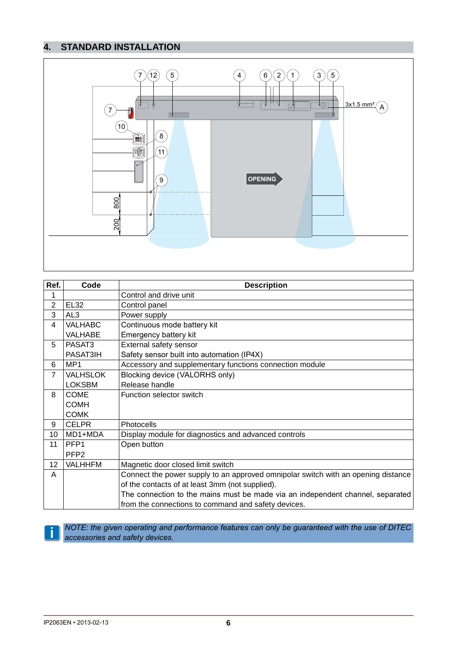# **4. STANDARD INSTALLATION**



| Ref.           | Code             | <b>Description</b>                                                                |  |  |
|----------------|------------------|-----------------------------------------------------------------------------------|--|--|
| 1              |                  | Control and drive unit                                                            |  |  |
| $\overline{2}$ | <b>EL32</b>      | Control panel                                                                     |  |  |
| 3              | AL3              | Power supply                                                                      |  |  |
| 4              | <b>VALHABC</b>   | Continuous mode battery kit                                                       |  |  |
|                | VALHABE          | Emergency battery kit                                                             |  |  |
| 5              | PASAT3           | External safety sensor                                                            |  |  |
|                | PASAT3IH         | Safety sensor built into automation (IP4X)                                        |  |  |
| 6              | MP1              | Accessory and supplementary functions connection module                           |  |  |
| $\overline{7}$ | <b>VALHSLOK</b>  | Blocking device (VALORHS only)                                                    |  |  |
|                | <b>LOKSBM</b>    | Release handle                                                                    |  |  |
| 8              | <b>COME</b>      | Function selector switch                                                          |  |  |
|                | <b>COMH</b>      |                                                                                   |  |  |
|                | <b>COMK</b>      |                                                                                   |  |  |
| 9              | <b>CELPR</b>     | Photocells                                                                        |  |  |
| 10             | MD1+MDA          | Display module for diagnostics and advanced controls                              |  |  |
| 11             | PFP <sub>1</sub> | Open button                                                                       |  |  |
|                | PFP <sub>2</sub> |                                                                                   |  |  |
| 12             | <b>VALHHFM</b>   | Magnetic door closed limit switch                                                 |  |  |
| A              |                  | Connect the power supply to an approved omnipolar switch with an opening distance |  |  |
|                |                  | of the contacts of at least 3mm (not supplied).                                   |  |  |
|                |                  | The connection to the mains must be made via an independent channel, separated    |  |  |
|                |                  | from the connections to command and safety devices.                               |  |  |

**i i** *NOTE: the given operating and performance features can only be guaranteed with the use of DITEC accessories and safety devices accessories and safety devices.*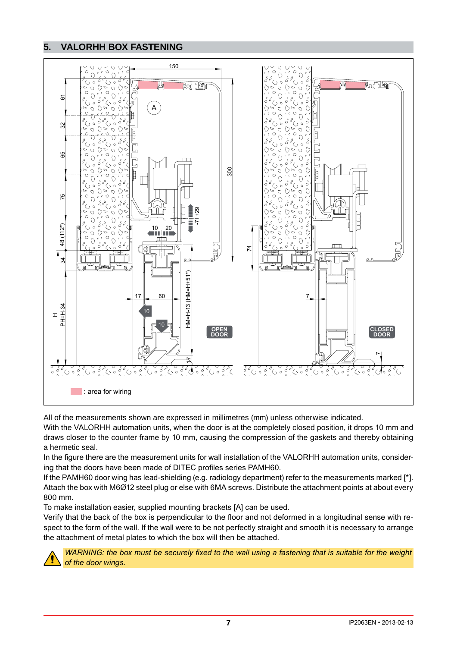#### 5. **VALORHH BOX FASTENING**



All of the measurements shown are expressed in millimetres (mm) unless otherwise indicated.

With the VALORHH automation units, when the door is at the completely closed position, it drops 10 mm and draws closer to the counter frame by 10 mm, causing the compression of the gaskets and thereby obtaining a hermetic seal.

In the figure there are the measurement units for wall installation of the VALORHH automation units, considering that the doors have been made of DITEC profiles series PAMH60.

If the PAMH60 door wing has lead-shielding (e.g. radiology department) refer to the measurements marked [\*]. Attach the box with M6Ø12 steel plug or else with 6MA screws. Distribute the attachment points at about every 800 mm.

To make installation easier, supplied mounting brackets [A] can be used.

Verify that the back of the box is perpendicular to the floor and not deformed in a longitudinal sense with respect to the form of the wall. If the wall were to be not perfectly straight and smooth it is necessary to arrange the attachment of metal plates to which the box will then be attached.



WARNING: the box must be securely fixed to the wall using a fastening that is suitable for the weight of the door wings.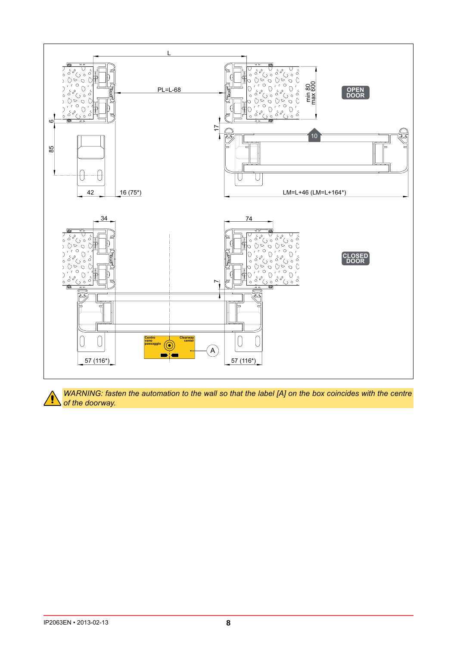

WARNING: fasten the automation to the wall so that the label [A] on the box coincides with the centre of the doorway.

**g**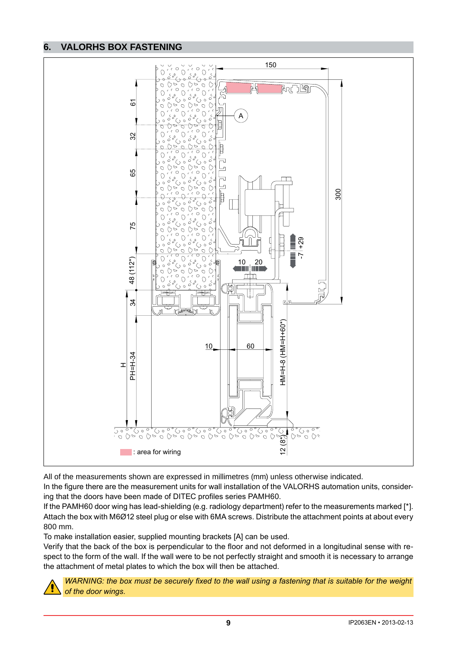#### **VALORHS BOX FASTENING** 6.



All of the measurements shown are expressed in millimetres (mm) unless otherwise indicated.

In the figure there are the measurement units for wall installation of the VALORHS automation units, considering that the doors have been made of DITEC profiles series PAMH60.

If the PAMH60 door wing has lead-shielding (e.g. radiology department) refer to the measurements marked [\*]. Attach the box with M6Ø12 steel plug or else with 6MA screws. Distribute the attachment points at about every 800 mm

To make installation easier, supplied mounting brackets [A] can be used.

Verify that the back of the box is perpendicular to the floor and not deformed in a longitudinal sense with respect to the form of the wall. If the wall were to be not perfectly straight and smooth it is necessary to arrange the attachment of metal plates to which the box will then be attached.



WARNING: the box must be securely fixed to the wall using a fastening that is suitable for the weight of the door wings.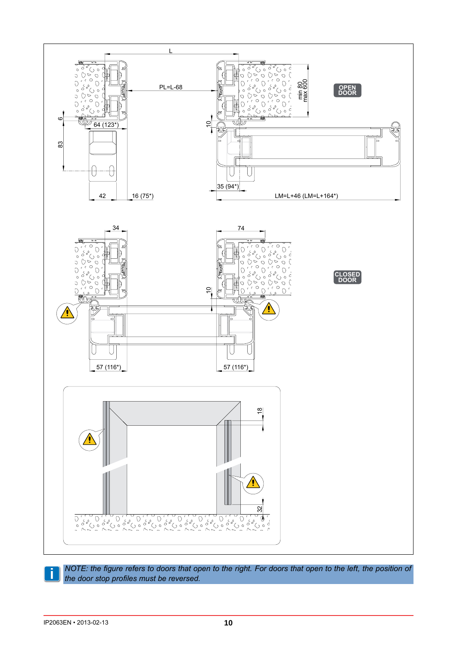

*NOTE: the figure refers to doors that open to the right. For doors that open to the left, the position of the door stop profiles must be reversed.*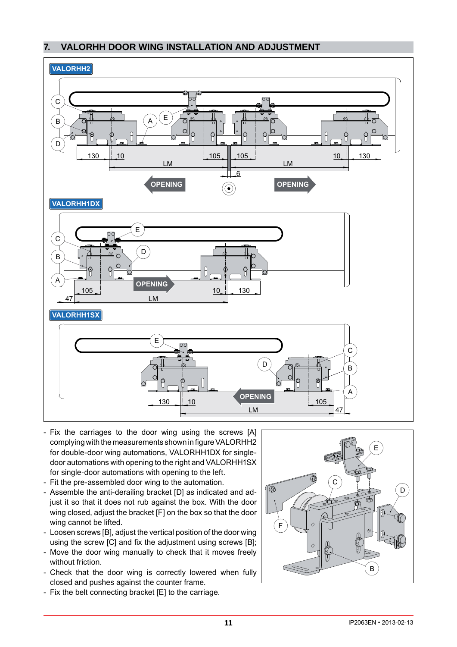#### **VALORHH DOOR WING INSTALLATION AND ADJUSTMENT**  $7.$



- Fix the carriages to the door wing using the screws [A] complying with the measurements shown in figure VALORHH2 for double-door wing automations, VALORHH1DX for singledoor automations with opening to the right and VALORHH1SX for single-door automations with opening to the left.
- Fit the pre-assembled door wing to the automation.
- Assemble the anti-derailing bracket [D] as indicated and adjust it so that it does not rub against the box. With the door wing closed, adjust the bracket [F] on the box so that the door wing cannot be lifted.
- Loosen screws [B], adjust the vertical position of the door wing using the screw [C] and fix the adjustment using screws [B];
- Move the door wing manually to check that it moves freely without friction.
- Check that the door wing is correctly lowered when fully closed and pushes against the counter frame.
- Fix the belt connecting bracket [E] to the carriage.

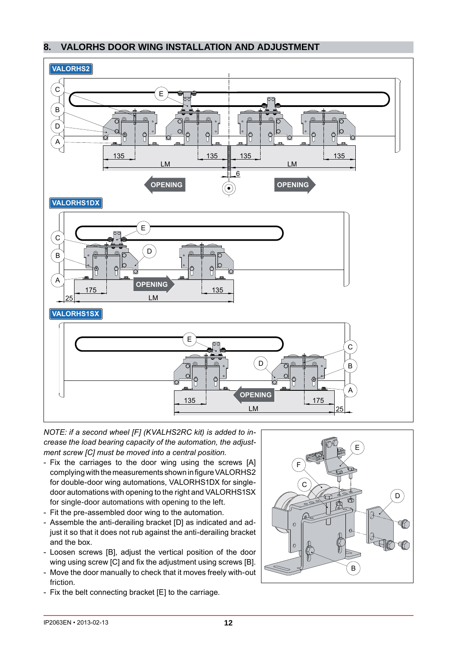#### **VALORHS DOOR WING INSTALLATION AND ADJUSTMENT** 8.



NOTE: if a second wheel [F] (KVALHS2RC kit) is added to increase the load bearing capacity of the automation, the adjustment screw [C] must be moved into a central position.

- Fix the carriages to the door wing using the screws [A] complying with the measurements shown in figure VALORHS2 for double-door wing automations, VALORHS1DX for singledoor automations with opening to the right and VALORHS1SX for single-door automations with opening to the left.
- Fit the pre-assembled door wing to the automation.
- Assemble the anti-derailing bracket [D] as indicated and adjust it so that it does not rub against the anti-derailing bracket and the box.
- Loosen screws [B], adjust the vertical position of the door wing using screw [C] and fix the adjustment using screws [B].
- Move the door manually to check that it moves freely with-out friction.
- Fix the belt connecting bracket [E] to the carriage.

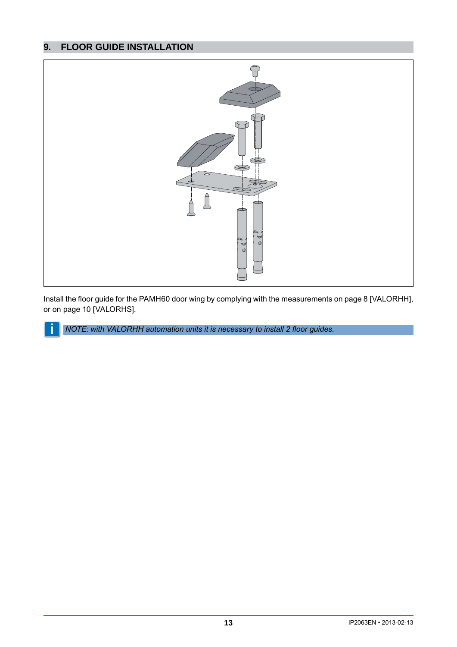#### **FLOOR GUIDE INSTALLATION** 9.

Ĭ



Install the floor guide for the PAMH60 door wing by complying with the measurements on page 8 [VALORHH], or on page 10 [VALORHS].

NOTE: with VALORHH automation units it is necessary to install 2 floor guides.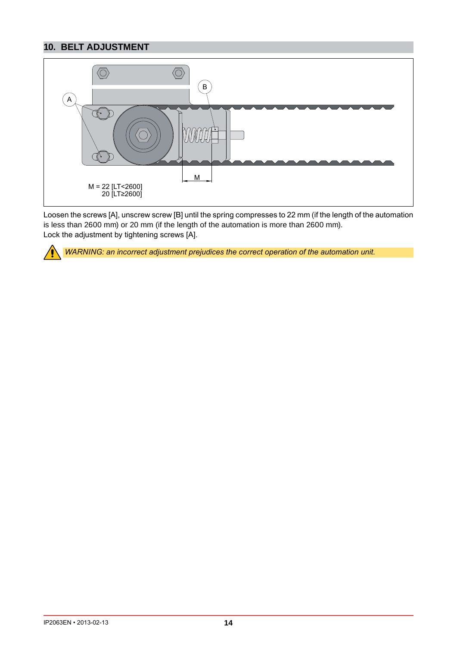# **10. BELT ADJUSTMENT**



Loosen the screws [A], unscrew screw [B] until the spring compresses to 22 mm (if the length of the automation is less than 2600 mm) or 20 mm (if the length of the automation is more than 2600 mm). Lock the adjustment by tightening screws [A].



WARNING: an incorrect adjustment prejudices the correct operation of the automation unit.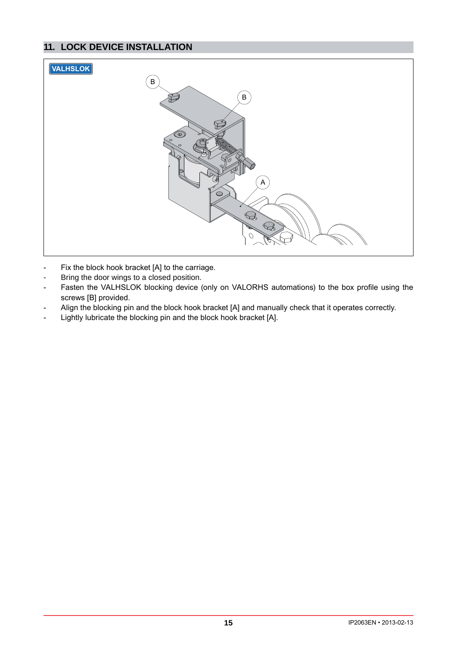# **11. LOCK DEVICE INSTALLATION**



- Fix the block hook bracket [A] to the carriage.  $\overline{a}$
- Bring the door wings to a closed position.  $\mathbf{r}$
- Fasten the VALHSLOK blocking device (only on VALORHS automations) to the box profile using the  $\overline{a}$ screws [B] provided.
- Align the blocking pin and the block hook bracket [A] and manually check that it operates correctly.  $\overline{a}$
- Lightly lubricate the blocking pin and the block hook bracket [A].  $\overline{a}$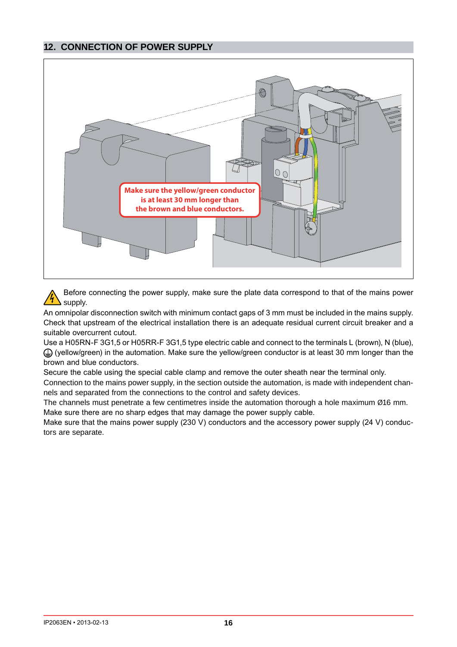# **12. CONNECTION OF POWER SUPPLY**



Before connecting the power supply, make sure the plate data correspond to that of the mains power supply.

An omnipolar disconnection switch with minimum contact gaps of 3 mm must be included in the mains supply. Check that upstream of the electrical installation there is an adequate residual current circuit breaker and a suitable overcurrent cutout.

Use a H05RN-F 3G1.5 or H05RR-F 3G1.5 type electric cable and connect to the terminals L (brown). N (blue).  $\bigoplus$  (yellow/green) in the automation. Make sure the yellow/green conductor is at least 30 mm longer than the brown and blue conductors.

Secure the cable using the special cable clamp and remove the outer sheath near the terminal only.

Connection to the mains power supply, in the section outside the automation, is made with independent channels and separated from the connections to the control and safety devices.

The channels must penetrate a few centimetres inside the automation thorough a hole maximum Ø16 mm. Make sure there are no sharp edges that may damage the power supply cable.

Make sure that the mains power supply (230 V) conductors and the accessory power supply (24 V) conductors are separate.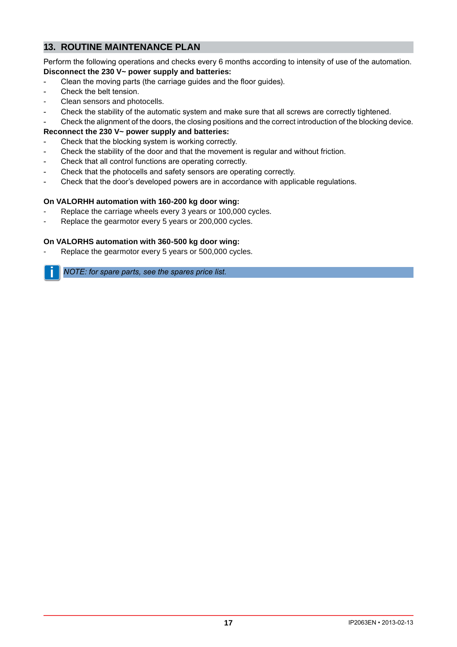# **13. ROUTINE MAINTENANCE PLAN**

Perform the following operations and checks every 6 months according to intensity of use of the automation. **Disconnect the 230 V~ power supply and batteries:**

- Clean the moving parts (the carriage quides and the floor quides).
- Check the belt tension.
- Clean sensors and photocells.
- Check the stability of the automatic system and make sure that all screws are correctly tightened.
- Check the alignment of the doors, the closing positions and the correct introduction of the blocking device.

### **Reconnect the 230 V~ power supply and batteries:**

- Check that the blocking system is working correctly.
- Check the stability of the door and that the movement is regular and without friction.
- Check that all control functions are operating correctly.
- Check that the photocells and safety sensors are operating correctly.
- Check that the door's developed powers are in accordance with applicable requlations.

### **On VALORHH automation with 160-200 kg door wing:**

- Replace the carriage wheels every 3 years or 100,000 cycles.
- Replace the gearmotor every 5 years or 200,000 cycles.

### **On VALORHS automation with 360-500 kg door wing:**

Replace the gearmotor every 5 years or 500,000 cycles.

**i** *NOTE: for spare parts see the spares price list.*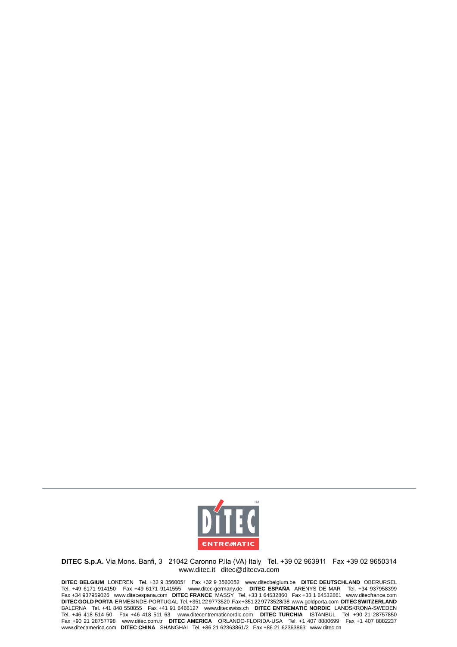

DITEC S.p.A. Via Mons. Banfi, 3 21042 Caronno P.lla (VA) Italy Tel. +39 02 963911 Fax +39 02 9650314 www.ditec.it ditec@ditecva.com

DITEC BELGIUM LOKEREN Tel. +32 9 3560051 Fax +32 9 3560052 www.ditecbelgium.be DITEC DEUTSCHLAND OBERURSEL<br>Tel. +49 6171 914150 Fax +49 6171 9141555 www.ditec-germany.de DITEC ESPAÑA ARENYS DE MAR Tel. +34 937958399<br>Fax +3 DITEC GOLD PORTA ERMESINDE-PORTUGAL Tel. +351 22 9773520 Fax +351 22 9773528/38 www.goldporta.com DITEC SWITZERLAND BALERNA Tel. +41 848 558855 Fax +41 91 6466127 www.ditecswiss.ch DITEC ENTREMATIC NORDIC LANDSKRONA-SWEDEN Tel. +46 418 514 50 Fax +46 418 511 63 www.ditecentrematic com DITEC TURCHIA ISTANBUL Tel. +90 21 28757850<br>Fax +90 21 28757798 www.ditec.com.tr DITEC AMERICA ORLANDO-FLORIDA-USA Tel. +1 407 8880699 Fax +1 407 8882237<br>www.d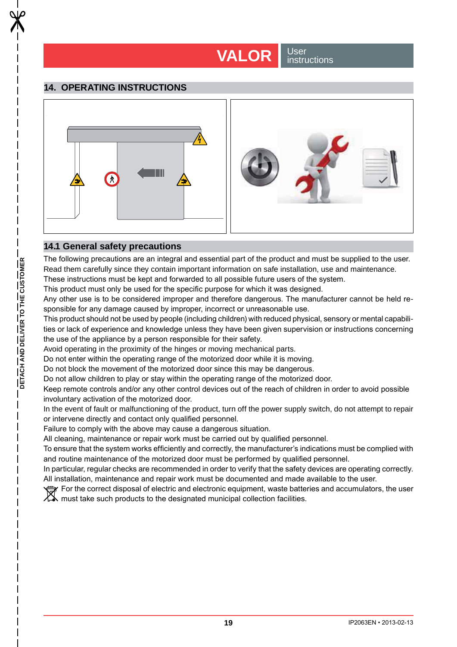# **VALOR** Sinster

<u>instructions</u>

# **14. OPERATING INSTRUCTIONS**



# **14.1 General safety precautions**

The following precautions are an integral and essential part of the product and must be supplied to the user. Read them carefully since they contain important information on safe installation, use and maintenance.

These instructions must be kept and forwarded to all possible future users of the system. This product must only be used for the specific purpose for which it was designed.

Any other use is to be considered improper and therefore dangerous. The manufacturer cannot be held responsible for any damage caused by improper, incorrect or unreasonable use.

This product should not be used by people (including children) with reduced physical, sensory or mental capabilities or lack of experience and knowledge unless they have been given supervision or instructions concerning the use of the appliance by a person responsible for their safety.

Avoid operating in the proximity of the hinges or moving mechanical parts.

Do not enter within the operating range of the motorized door while it is moving.

Do not block the movement of the motorized door since this may be dangerous.

Do not allow children to play or stay within the operating range of the motorized door.

Keep remote controls and/or any other control devices out of the reach of children in order to avoid possible involuntary activation of the motorized door.

In the event of fault or malfunctioning of the product, turn off the power supply switch, do not attempt to repair or intervene directly and contact only qualified personnel.

Failure to comply with the above may cause a dangerous situation.

All cleaning, maintenance or repair work must be carried out by qualified personnel.

To ensure that the system works efficiently and correctly, the manufacturer's indications must be complied with and routine maintenance of the motorized door must be performed by qualified personnel.

In particular, regular checks are recommended in order to verify that the safety devices are operating correctly. All installation, maintenance and repair work must be documented and made available to the user.

The correct disposal of electric and electronic equipment, waste batteries and accumulators, the user POI THE COLLECT UISPOSED OF SIGNIFIED AND THE COLLECTION FACILITIES.<br>A must take such products to the designated municipal collection facilities.